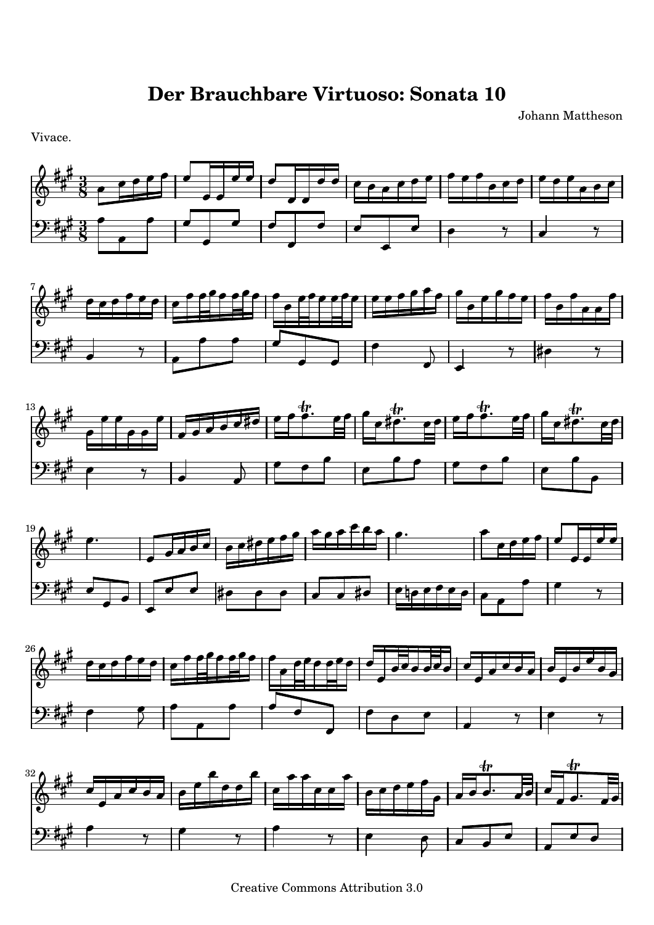Johann Mattheson

Vivace.













Creative Commons Attribution 3.0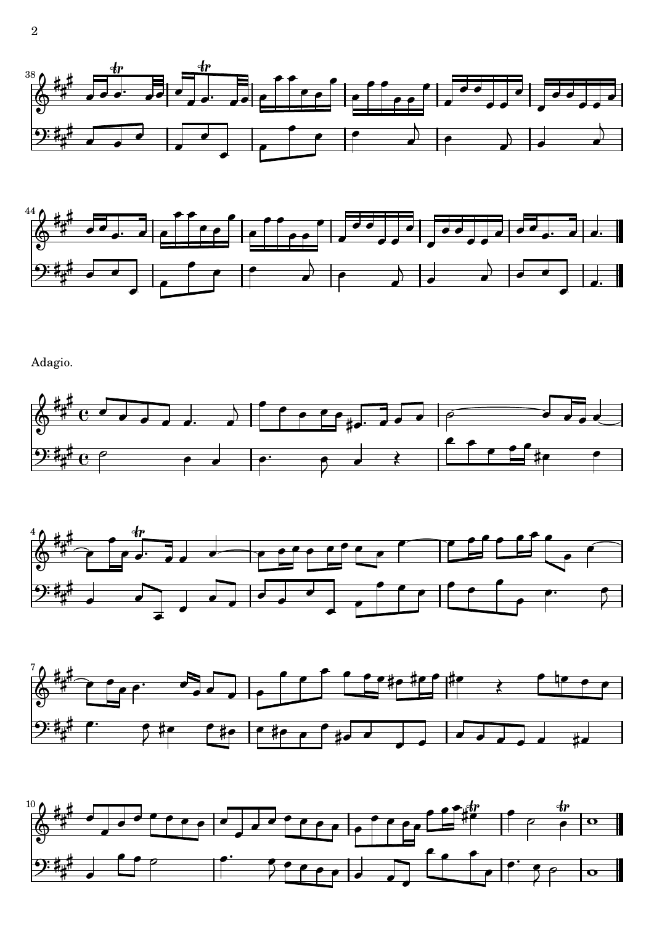



Adagio.







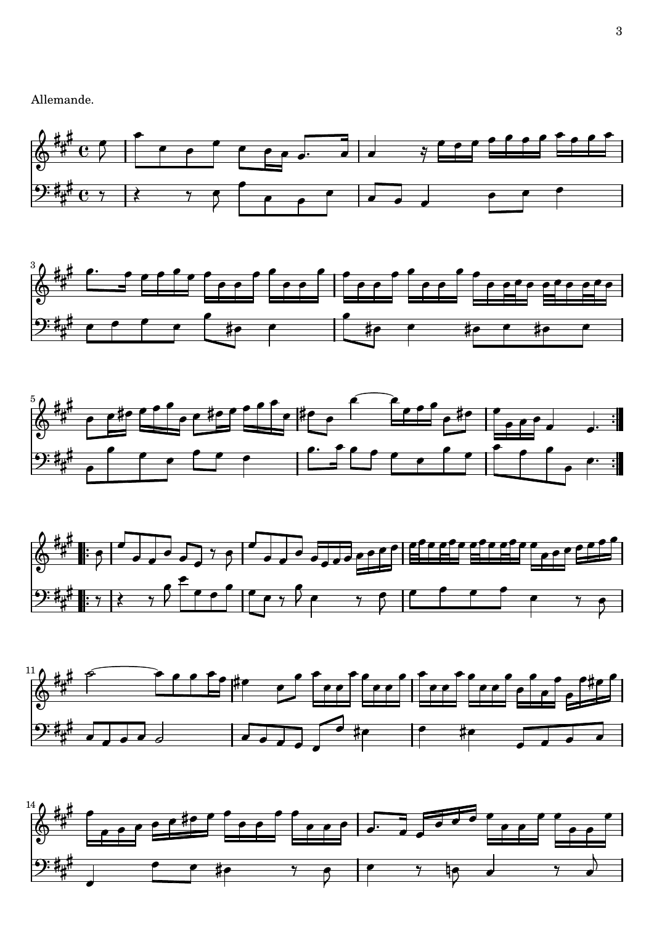Allemande.











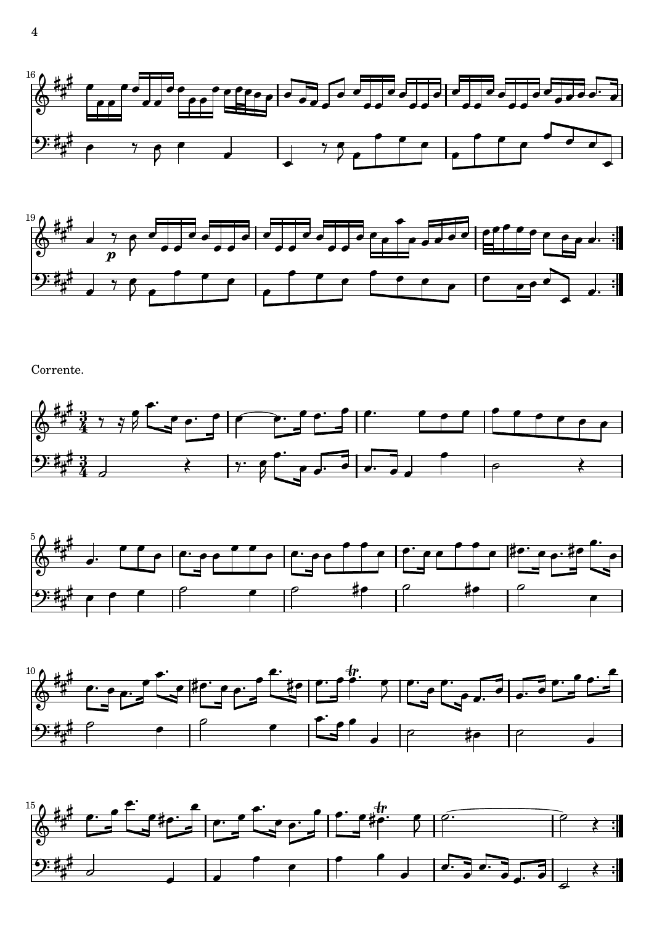



Corrente.







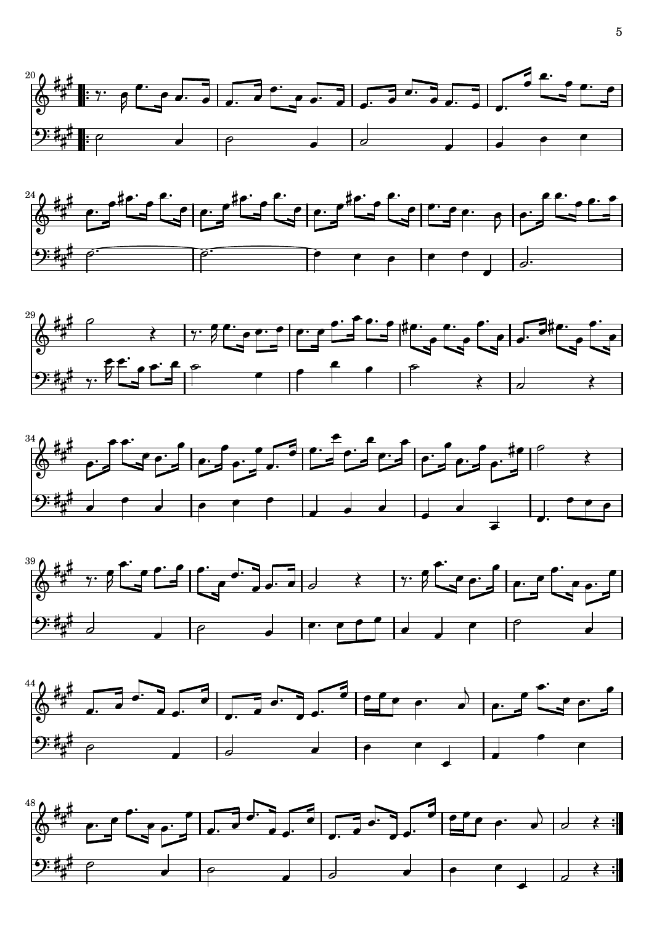